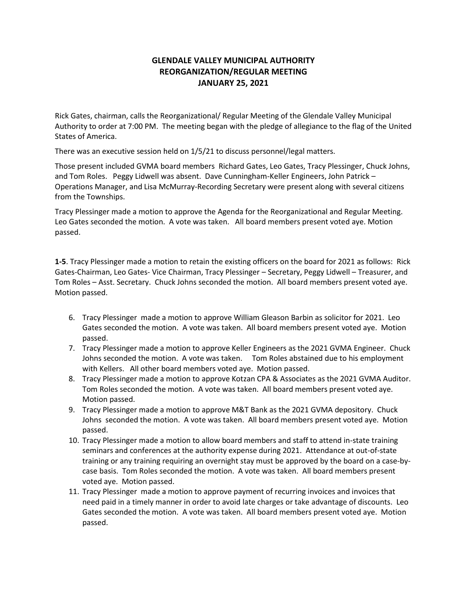# **GLENDALE VALLEY MUNICIPAL AUTHORITY REORGANIZATION/REGULAR MEETING JANUARY 25, 2021**

Rick Gates, chairman, calls the Reorganizational/ Regular Meeting of the Glendale Valley Municipal Authority to order at 7:00 PM. The meeting began with the pledge of allegiance to the flag of the United States of America.

There was an executive session held on 1/5/21 to discuss personnel/legal matters.

Those present included GVMA board members Richard Gates, Leo Gates, Tracy Plessinger, Chuck Johns, and Tom Roles. Peggy Lidwell was absent. Dave Cunningham-Keller Engineers, John Patrick – Operations Manager, and Lisa McMurray-Recording Secretary were present along with several citizens from the Townships.

Tracy Plessinger made a motion to approve the Agenda for the Reorganizational and Regular Meeting. Leo Gates seconded the motion. A vote was taken. All board members present voted aye. Motion passed.

**1-5**. Tracy Plessinger made a motion to retain the existing officers on the board for 2021 as follows: Rick Gates-Chairman, Leo Gates- Vice Chairman, Tracy Plessinger – Secretary, Peggy Lidwell – Treasurer, and Tom Roles – Asst. Secretary. Chuck Johns seconded the motion. All board members present voted aye. Motion passed.

- 6. Tracy Plessinger made a motion to approve William Gleason Barbin as solicitor for 2021. Leo Gates seconded the motion. A vote was taken. All board members present voted aye. Motion passed.
- 7. Tracy Plessinger made a motion to approve Keller Engineers as the 2021 GVMA Engineer. Chuck Johns seconded the motion. A vote was taken. Tom Roles abstained due to his employment with Kellers. All other board members voted aye. Motion passed.
- 8. Tracy Plessinger made a motion to approve Kotzan CPA & Associates as the 2021 GVMA Auditor. Tom Roles seconded the motion. A vote was taken. All board members present voted aye. Motion passed.
- 9. Tracy Plessinger made a motion to approve M&T Bank as the 2021 GVMA depository. Chuck Johns seconded the motion. A vote was taken. All board members present voted aye. Motion passed.
- 10. Tracy Plessinger made a motion to allow board members and staff to attend in-state training seminars and conferences at the authority expense during 2021. Attendance at out-of-state training or any training requiring an overnight stay must be approved by the board on a case-bycase basis. Tom Roles seconded the motion. A vote was taken. All board members present voted aye. Motion passed.
- 11. Tracy Plessinger made a motion to approve payment of recurring invoices and invoices that need paid in a timely manner in order to avoid late charges or take advantage of discounts. Leo Gates seconded the motion. A vote was taken. All board members present voted aye. Motion passed.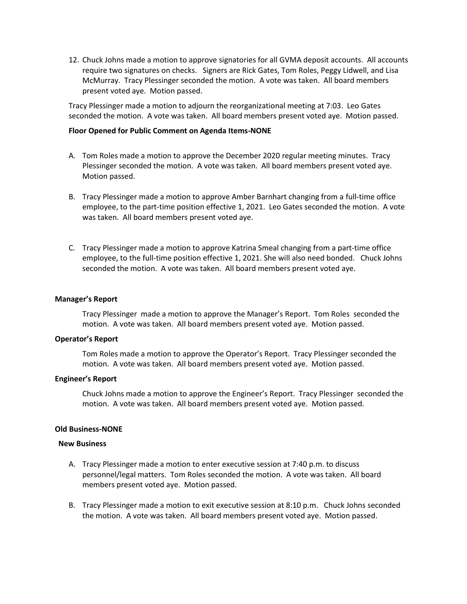12. Chuck Johns made a motion to approve signatories for all GVMA deposit accounts. All accounts require two signatures on checks. Signers are Rick Gates, Tom Roles, Peggy Lidwell, and Lisa McMurray. Tracy Plessinger seconded the motion. A vote was taken. All board members present voted aye. Motion passed.

Tracy Plessinger made a motion to adjourn the reorganizational meeting at 7:03. Leo Gates seconded the motion. A vote was taken. All board members present voted aye. Motion passed.

#### **Floor Opened for Public Comment on Agenda Items-NONE**

- A. Tom Roles made a motion to approve the December 2020 regular meeting minutes. Tracy Plessinger seconded the motion. A vote was taken. All board members present voted aye. Motion passed.
- B. Tracy Plessinger made a motion to approve Amber Barnhart changing from a full-time office employee, to the part-time position effective 1, 2021. Leo Gates seconded the motion. A vote was taken. All board members present voted aye.
- C. Tracy Plessinger made a motion to approve Katrina Smeal changing from a part-time office employee, to the full-time position effective 1, 2021. She will also need bonded. Chuck Johns seconded the motion. A vote was taken. All board members present voted aye.

## **Manager's Report**

Tracy Plessinger made a motion to approve the Manager's Report. Tom Roles seconded the motion. A vote was taken. All board members present voted aye. Motion passed.

## **Operator's Report**

Tom Roles made a motion to approve the Operator's Report. Tracy Plessinger seconded the motion. A vote was taken. All board members present voted aye. Motion passed.

#### **Engineer's Report**

Chuck Johns made a motion to approve the Engineer's Report. Tracy Plessinger seconded the motion. A vote was taken. All board members present voted aye. Motion passed.

#### **Old Business-NONE**

#### **New Business**

- A. Tracy Plessinger made a motion to enter executive session at 7:40 p.m. to discuss personnel/legal matters. Tom Roles seconded the motion. A vote was taken. All board members present voted aye. Motion passed.
- B. Tracy Plessinger made a motion to exit executive session at 8:10 p.m. Chuck Johns seconded the motion. A vote was taken. All board members present voted aye. Motion passed.